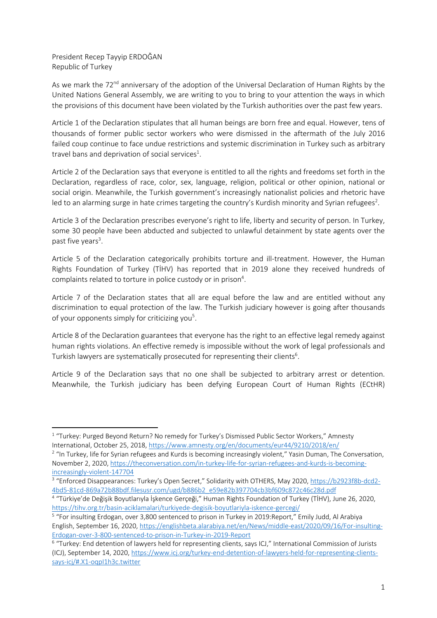President Recep Tayyip ERDOĞAN Republic of Turkey

As we mark the 72<sup>nd</sup> anniversary of the adoption of the Universal Declaration of Human Rights by the United Nations General Assembly, we are writing to you to bring to your attention the ways in which the provisions of this document have been violated by the Turkish authorities over the past few years.

Article 1 of the Declaration stipulates that all human beings are born free and equal. However, tens of thousands of former public sector workers who were dismissed in the aftermath of the July 2016 failed coup continue to face undue restrictions and systemic discrimination in Turkey such as arbitrary travel bans and deprivation of social services<sup>1</sup>.

Article 2 of the Declaration says that everyone is entitled to all the rights and freedoms set forth in the Declaration, regardless of race, color, sex, language, religion, political or other opinion, national or social origin. Meanwhile, the Turkish government's increasingly nationalist policies and rhetoric have led to an alarming surge in hate crimes targeting the country's Kurdish minority and Syrian refugees<sup>2</sup>.

Article 3 of the Declaration prescribes everyone's right to life, liberty and security of person. In Turkey, some 30 people have been abducted and subjected to unlawful detainment by state agents over the past five years<sup>3</sup>.

Article 5 of the Declaration categorically prohibits torture and ill-treatment. However, the Human Rights Foundation of Turkey (TİHV) has reported that in 2019 alone they received hundreds of complaints related to torture in police custody or in prison $4$ .

Article 7 of the Declaration states that all are equal before the law and are entitled without any discrimination to equal protection of the law. The Turkish judiciary however is going after thousands of your opponents simply for criticizing you<sup>5</sup>.

Article 8 of the Declaration guarantees that everyone has the right to an effective legal remedy against human rights violations. An effective remedy is impossible without the work of legal professionals and Turkish lawyers are systematically prosecuted for representing their clients<sup>6</sup>.

Article 9 of the Declaration says that no one shall be subjected to arbitrary arrest or detention. Meanwhile, the Turkish judiciary has been defying European Court of Human Rights (ECtHR)

<sup>&</sup>lt;sup>1</sup> "Turkey: Purged Beyond Return? No remedy for Turkey's Dismissed Public Sector Workers," Amnesty International, October 25, 2018, https://www.amnesty.org/en/documents/eur44/9210/2018/en/

<sup>&</sup>lt;sup>2</sup> "In Turkey, life for Syrian refugees and Kurds is becoming increasingly violent," Yasin Duman, The Conversation, November 2, 2020, https://theconversation.com/in-turkey-life-for-syrian-refugees-and-kurds-is-becomingincreasingly-violent-147704

<sup>&</sup>lt;sup>3</sup> "Enforced Disappearances: Turkey's Open Secret," Solidarity with OTHERS, May 2020, https://b2923f8b-dcd2-4bd5-81cd-869a72b88bdf.filesusr.com/ugd/b886b2\_e59e82b397704cb3bf609c872c46c28d.pdf

<sup>4</sup> "Türkiye'de Değişik Boyutlarıyla İşkence Gerçeği," Human Rights Foundation of Turkey (TİHV), June 26, 2020, https://tihv.org.tr/basin-aciklamalari/turkiyede-degisik-boyutlariyla-iskence-gercegi/

<sup>5</sup> "For insulting Erdogan, over 3,800 sentenced to prison in Turkey in 2019:Report," Emily Judd, Al Arabiya English, September 16, 2020, https://englishbeta.alarabiya.net/en/News/middle-east/2020/09/16/For-insulting-Erdogan-over-3-800-sentenced-to-prison-in-Turkey-in-2019-Report

<sup>&</sup>lt;sup>6</sup> "Turkey: End detention of lawyers held for representing clients, says ICJ," International Commission of Jurists (ICJ), September 14, 2020, https://www.icj.org/turkey-end-detention-of-lawyers-held-for-representing-clientssays-icj/#.X1-oqpI1h3c.twitter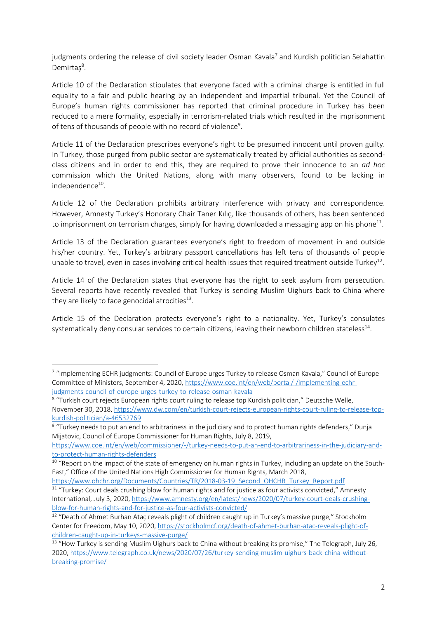judgments ordering the release of civil society leader Osman Kavala<sup>7</sup> and Kurdish politician Selahattin Demirtaş<sup>8</sup>.

Article 10 of the Declaration stipulates that everyone faced with a criminal charge is entitled in full equality to a fair and public hearing by an independent and impartial tribunal. Yet the Council of Europe's human rights commissioner has reported that criminal procedure in Turkey has been reduced to a mere formality, especially in terrorism-related trials which resulted in the imprisonment of tens of thousands of people with no record of violence<sup>9</sup>.

Article 11 of the Declaration prescribes everyone's right to be presumed innocent until proven guilty. In Turkey, those purged from public sector are systematically treated by official authorities as secondclass citizens and in order to end this, they are required to prove their innocence to an *ad hoc* commission which the United Nations, along with many observers, found to be lacking in independence<sup>10</sup>.

Article 12 of the Declaration prohibits arbitrary interference with privacy and correspondence. However, Amnesty Turkey's Honorary Chair Taner Kılıç, like thousands of others, has been sentenced to imprisonment on terrorism charges, simply for having downloaded a messaging app on his phone<sup>11</sup>.

Article 13 of the Declaration guarantees everyone's right to freedom of movement in and outside his/her country. Yet, Turkey's arbitrary passport cancellations has left tens of thousands of people unable to travel, even in cases involving critical health issues that required treatment outside Turkey<sup>12</sup>.

Article 14 of the Declaration states that everyone has the right to seek asylum from persecution. Several reports have recently revealed that Turkey is sending Muslim Uighurs back to China where they are likely to face genocidal atrocities $13$ .

Article 15 of the Declaration protects everyone's right to a nationality. Yet, Turkey's consulates systematically deny consular services to certain citizens, leaving their newborn children stateless<sup>14</sup>.

https://www.ohchr.org/Documents/Countries/TR/2018-03-19\_Second\_OHCHR\_Turkey\_Report.pdf

<sup>7</sup> "Implementing ECHR judgments: Council of Europe urges Turkey to release Osman Kavala," Council of Europe Committee of Ministers, September 4, 2020, https://www.coe.int/en/web/portal/-/implementing-echrjudgments-council-of-europe-urges-turkey-to-release-osman-kavala

<sup>8</sup> "Turkish court rejects European rights court ruling to release top Kurdish politician," Deutsche Welle, November 30, 2018, https://www.dw.com/en/turkish-court-rejects-european-rights-court-ruling-to-release-topkurdish-politician/a-46532769

<sup>&</sup>lt;sup>9</sup> "Turkey needs to put an end to arbitrariness in the judiciary and to protect human rights defenders," Dunja Mijatovic, Council of Europe Commissioner for Human Rights, July 8, 2019,

https://www.coe.int/en/web/commissioner/-/turkey-needs-to-put-an-end-to-arbitrariness-in-the-judiciary-andto-protect-human-rights-defenders

<sup>&</sup>lt;sup>10</sup> "Report on the impact of the state of emergency on human rights in Turkey, including an update on the South-East," Office of the United Nations High Commissioner for Human Rights, March 2018,

<sup>&</sup>lt;sup>11</sup> "Turkey: Court deals crushing blow for human rights and for justice as four activists convicted," Amnesty International, July 3, 2020, https://www.amnesty.org/en/latest/news/2020/07/turkey-court-deals-crushingblow-for-human-rights-and-for-justice-as-four-activists-convicted/

<sup>&</sup>lt;sup>12</sup> "Death of Ahmet Burhan Ataç reveals plight of children caught up in Turkey's massive purge," Stockholm Center for Freedom, May 10, 2020, https://stockholmcf.org/death-of-ahmet-burhan-atac-reveals-plight-ofchildren-caught-up-in-turkeys-massive-purge/

<sup>&</sup>lt;sup>13</sup> "How Turkey is sending Muslim Uighurs back to China without breaking its promise," The Telegraph, July 26, 2020, https://www.telegraph.co.uk/news/2020/07/26/turkey-sending-muslim-uighurs-back-china-withoutbreaking-promise/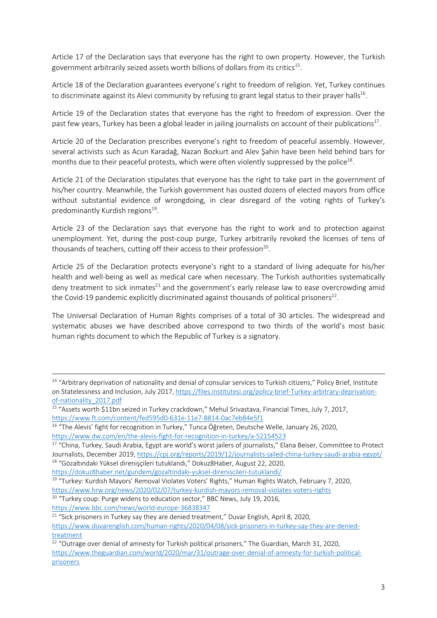Article 17 of the Declaration says that everyone has the right to own property. However, the Turkish government arbitrarily seized assets worth billions of dollars from its critics<sup>15</sup>.

Article 18 of the Declaration guarantees everyone's right to freedom of religion. Yet, Turkey continues to discriminate against its Alevi community by refusing to grant legal status to their prayer halls<sup>16</sup>.

Article 19 of the Declaration states that everyone has the right to freedom of expression. Over the past few years, Turkey has been a global leader in jailing journalists on account of their publications<sup>17</sup>.

Article 20 of the Declaration prescribes everyone's right to freedom of peaceful assembly. However, several activists such as Acun Karadağ, Nazan Bozkurt and Alev Şahin have been held behind bars for months due to their peaceful protests, which were often violently suppressed by the police $18$ .

Article 21 of the Declaration stipulates that everyone has the right to take part in the government of his/her country. Meanwhile, the Turkish government has ousted dozens of elected mayors from office without substantial evidence of wrongdoing, in clear disregard of the voting rights of Turkey's predominantly Kurdish regions<sup>19</sup>.

Article 23 of the Declaration says that everyone has the right to work and to protection against unemployment. Yet, during the post-coup purge, Turkey arbitrarily revoked the licenses of tens of thousands of teachers, cutting off their access to their profession<sup>20</sup>.

Article 25 of the Declaration protects everyone's right to a standard of living adequate for his/her health and well-being as well as medical care when necessary. The Turkish authorities systematically deny treatment to sick inmates<sup>21</sup> and the government's early release law to ease overcrowding amid the Covid-19 pandemic explicitly discriminated against thousands of political prisoners<sup>22</sup>.

The Universal Declaration of Human Rights comprises of a total of 30 articles. The widespread and systematic abuses we have described above correspond to two thirds of the world's most basic human rights document to which the Republic of Turkey is a signatory.

<sup>&</sup>lt;sup>14</sup> "Arbitrary deprivation of nationality and denial of consular services to Turkish citizens," Policy Brief, Institute on Statelessness and Inclusion, July 2017, https://files.institutesi.org/policy-brief-Turkey-arbitrary-deprivationof-nationality\_2017.pdf

<sup>15</sup> "Assets worth \$11bn seized in Turkey crackdown," Mehul Srivastava, Financial Times, July 7, 2017, https://www.ft.com/content/fed595d0-631e-11e7-8814-0ac7eb84e5f1

<sup>&</sup>lt;sup>16</sup> "The Alevis' fight for recognition in Turkey," Tunca Öğreten, Deutsche Welle, January 26, 2020, https://www.dw.com/en/the-alevis-fight-for-recognition-in-turkey/a-52154523

<sup>&</sup>lt;sup>17</sup> "China, Turkey, Saudi Arabia, Egypt are world's worst jailers of journalists," Elana Beiser, Committee to Protect Journalists, December 2019, https://cpj.org/reports/2019/12/journalists-jailed-china-turkey-saudi-arabia-egypt/ <sup>18</sup> "Gözaltındaki Yüksel direnişçileri tutuklandı," Dokuz8Haber, August 22, 2020,

https://dokuz8haber.net/gundem/gozaltindaki-yuksel-direniscileri-tutuklandi/

<sup>&</sup>lt;sup>19</sup> "Turkey: Kurdish Mayors' Removal Violates Voters' Rights," Human Rights Watch, February 7, 2020,

https://www.hrw.org/news/2020/02/07/turkey-kurdish-mayors-removal-violates-voters-rights

<sup>&</sup>lt;sup>20</sup> "Turkey coup: Purge widens to education sector," BBC News, July 19, 2016, https://www.bbc.com/news/world-europe-36838347

<sup>&</sup>lt;sup>21</sup> "Sick prisoners in Turkey say they are denied treatment," Duvar English, April 8, 2020, https://www.duvarenglish.com/human-rights/2020/04/08/sick-prisoners-in-turkey-say-they-are-deniedtreatment

<sup>&</sup>lt;sup>22</sup> "Outrage over denial of amnesty for Turkish political prisoners," The Guardian, March 31, 2020, https://www.theguardian.com/world/2020/mar/31/outrage-over-denial-of-amnesty-for-turkish-politicalprisoners